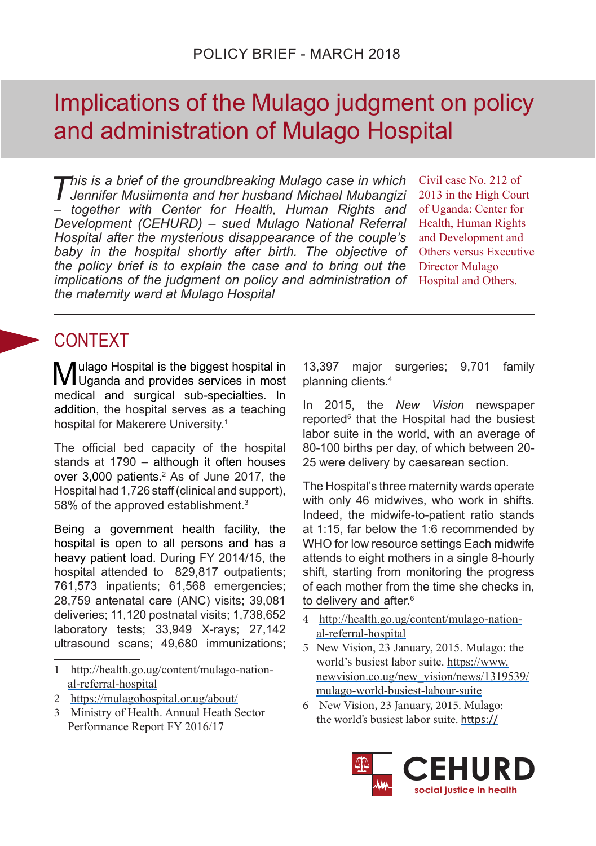# Implications of the Mulago judgment on policy and administration of Mulago Hospital

*This is a brief of the groundbreaking Mulago case in which Jennifer Musiimenta and her husband Michael Mubangizi – together with Center for Health, Human Rights and Development (CEHURD) – sued Mulago National Referral Hospital after the mysterious disappearance of the couple's baby in the hospital shortly after birth. The objective of the policy brief is to explain the case and to bring out the implications of the judgment on policy and administration of the maternity ward at Mulago Hospital*

Civil case No. 212 of 2013 in the High Court of Uganda: Center for Health, Human Rights and Development and Others versus Executive Director Mulago Hospital and Others.

## CONTEXT

Mulago Hospital is the biggest hospital in Uganda and provides services in most medical and surgical sub-specialties. In addition, the hospital serves as a teaching hospital for Makerere University.1

The official bed capacity of the hospital stands at 1790 – although it often houses over 3,000 patients.<sup>2</sup> As of June 2017, the Hospital had 1,726 staff (clinical and support), 58% of the approved establishment.<sup>3</sup>

Being a government health facility, the hospital is open to all persons and has a heavy patient load. During FY 2014/15, the hospital attended to 829,817 outpatients; 761,573 inpatients; 61,568 emergencies; 28,759 antenatal care (ANC) visits; 39,081 deliveries; 11,120 postnatal visits; 1,738,652 laboratory tests; 33,949 X-rays; 27,142 ultrasound scans; 49,680 immunizations;

- 2 https://mulagohospital.or.ug/about/
- 3 Ministry of Health. Annual Heath Sector Performance Report FY 2016/17

13,397 major surgeries; 9,701 family planning clients.4

In 2015, the *New Vision* newspaper reported<sup>5</sup> that the Hospital had the busiest labor suite in the world, with an average of 80-100 births per day, of which between 20- 25 were delivery by caesarean section.

The Hospital's three maternity wards operate with only 46 midwives, who work in shifts. Indeed, the midwife-to-patient ratio stands at 1:15, far below the 1:6 recommended by WHO for low resource settings Each midwife attends to eight mothers in a single 8-hourly shift, starting from monitoring the progress of each mother from the time she checks in, to delivery and after.<sup>6</sup>

- 4 http://health.go.ug/content/mulago-national-referral-hospital
- 5 New Vision, 23 January, 2015. Mulago: the world's busiest labor suite. https://www. newvision.co.ug/new\_vision/news/1319539/ mulago-world-busiest-labour-suite
- 6 New Vision, 23 January, 2015. Mulago: the world's busiest labor suite. https://



<sup>1</sup> http://health.go.ug/content/mulago-national-referral-hospital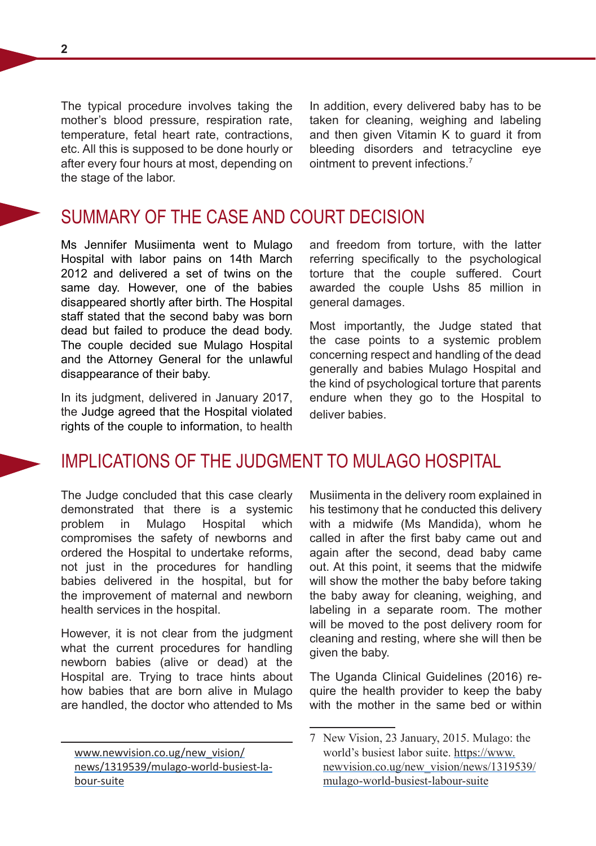The typical procedure involves taking the mother's blood pressure, respiration rate, temperature, fetal heart rate, contractions, etc. All this is supposed to be done hourly or after every four hours at most, depending on the stage of the labor.

In addition, every delivered baby has to be taken for cleaning, weighing and labeling and then given Vitamin K to guard it from bleeding disorders and tetracycline eye ointment to prevent infections.<sup>7</sup>

### SUMMARY OF THE CASE AND COURT DECISION

Ms Jennifer Musiimenta went to Mulago Hospital with labor pains on 14th March 2012 and delivered a set of twins on the same day. However, one of the babies disappeared shortly after birth. The Hospital staff stated that the second baby was born dead but failed to produce the dead body. The couple decided sue Mulago Hospital and the Attorney General for the unlawful disappearance of their baby.

In its judgment, delivered in January 2017, the Judge agreed that the Hospital violated rights of the couple to information, to health and freedom from torture, with the latter referring specifically to the psychological torture that the couple suffered. Court awarded the couple Ushs 85 million in general damages.

Most importantly, the Judge stated that the case points to a systemic problem concerning respect and handling of the dead generally and babies Mulago Hospital and the kind of psychological torture that parents endure when they go to the Hospital to deliver babies.

#### IMPLICATIONS OF THE JUDGMENT TO MULAGO HOSPITAL

The Judge concluded that this case clearly demonstrated that there is a systemic problem in Mulago Hospital which compromises the safety of newborns and ordered the Hospital to undertake reforms, not just in the procedures for handling babies delivered in the hospital, but for the improvement of maternal and newborn health services in the hospital.

However, it is not clear from the judgment what the current procedures for handling newborn babies (alive or dead) at the Hospital are. Trying to trace hints about how babies that are born alive in Mulago are handled, the doctor who attended to Ms Musiimenta in the delivery room explained in his testimony that he conducted this delivery with a midwife (Ms Mandida), whom he called in after the first baby came out and again after the second, dead baby came out. At this point, it seems that the midwife will show the mother the baby before taking the baby away for cleaning, weighing, and labeling in a separate room. The mother will be moved to the post delivery room for cleaning and resting, where she will then be given the baby.

The Uganda Clinical Guidelines (2016) require the health provider to keep the baby with the mother in the same bed or within

www.newvision.co.ug/new\_vision/ news/1319539/mulago-world-busiest-labour-suite

<sup>7</sup> New Vision, 23 January, 2015. Mulago: the world's busiest labor suite. https://www. newvision.co.ug/new\_vision/news/1319539/ mulago-world-busiest-labour-suite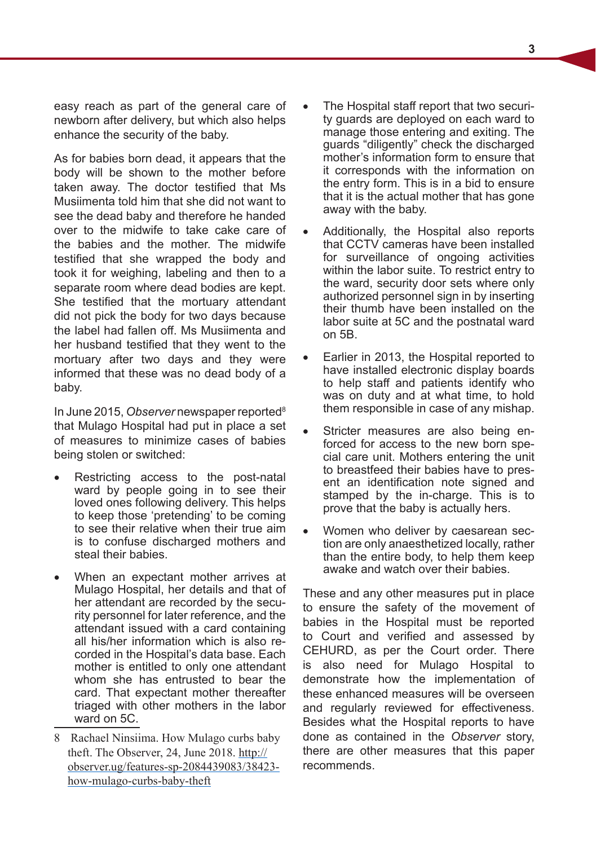easy reach as part of the general care of newborn after delivery, but which also helps enhance the security of the baby.

As for babies born dead, it appears that the body will be shown to the mother before taken away. The doctor testified that Ms Musiimenta told him that she did not want to see the dead baby and therefore he handed over to the midwife to take cake care of the babies and the mother. The midwife testified that she wrapped the body and took it for weighing, labeling and then to a separate room where dead bodies are kept. She testified that the mortuary attendant did not pick the body for two days because the label had fallen off. Ms Musiimenta and her husband testified that they went to the mortuary after two days and they were informed that these was no dead body of a baby.

In June 2015, *Observer* newspaper reported8 that Mulago Hospital had put in place a set of measures to minimize cases of babies being stolen or switched:

- Restricting access to the post-natal ward by people going in to see their loved ones following delivery. This helps to keep those 'pretending' to be coming to see their relative when their true aim is to confuse discharged mothers and steal their babies.
- When an expectant mother arrives at Mulago Hospital, her details and that of her attendant are recorded by the security personnel for later reference, and the attendant issued with a card containing all his/her information which is also recorded in the Hospital's data base. Each mother is entitled to only one attendant whom she has entrusted to bear the card. That expectant mother thereafter triaged with other mothers in the labor ward on 5C.
- The Hospital staff report that two security guards are deployed on each ward to manage those entering and exiting. The guards "diligently" check the discharged mother's information form to ensure that it corresponds with the information on the entry form. This is in a bid to ensure that it is the actual mother that has gone away with the baby.
- Additionally, the Hospital also reports that CCTV cameras have been installed for surveillance of ongoing activities within the labor suite. To restrict entry to the ward, security door sets where only authorized personnel sign in by inserting their thumb have been installed on the labor suite at 5C and the postnatal ward on 5B.
- Earlier in 2013, the Hospital reported to have installed electronic display boards to help staff and patients identify who was on duty and at what time, to hold them responsible in case of any mishap.
- Stricter measures are also being enforced for access to the new born special care unit. Mothers entering the unit to breastfeed their babies have to present an identification note signed and stamped by the in-charge. This is to prove that the baby is actually hers.
- Women who deliver by caesarean section are only anaesthetized locally, rather than the entire body, to help them keep awake and watch over their babies.

These and any other measures put in place to ensure the safety of the movement of babies in the Hospital must be reported to Court and verified and assessed by CEHURD, as per the Court order. There is also need for Mulago Hospital to demonstrate how the implementation of these enhanced measures will be overseen and regularly reviewed for effectiveness. Besides what the Hospital reports to have done as contained in the *Observer* story, there are other measures that this paper recommends.

<sup>8</sup> Rachael Ninsiima. How Mulago curbs baby theft. The Observer, 24, June 2018. http:// observer.ug/features-sp-2084439083/38423 how-mulago-curbs-baby-theft